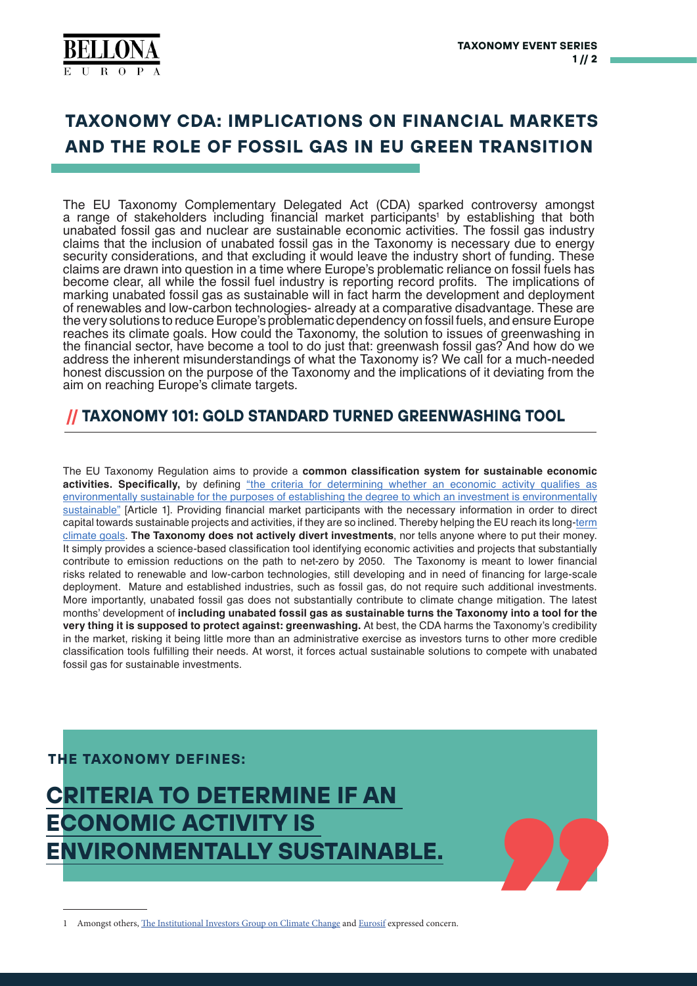

# **TAXONOMY CDA: IMPLICATIONS ON FINANCIAL MARKETS AND THE ROLE OF FOSSIL GAS IN EU GREEN TRANSITION**

The EU Taxonomy Complementary Delegated Act (CDA) sparked controversy amongst a range of stakeholders including financial market participants<sup>1</sup> by establishing that both unabated fossil gas and nuclear are sustainable economic activities. The fossil gas industry claims that the inclusion of unabated fossil gas in the Taxonomy is necessary due to energy security considerations, and that excluding it would leave the industry short of funding. These claims are drawn into question in a time where Europe's problematic reliance on fossil fuels has become clear, all while the fossil fuel industry is reporting record profits. The implications of marking unabated fossil gas as sustainable will in fact harm the development and deployment of renewables and low-carbon technologies- already at a comparative disadvantage. These are the very solutions to reduce Europe's problematic dependency on fossil fuels, and ensure Europe reaches its climate goals. How could the Taxonomy, the solution to issues of greenwashing in the financial sector, have become a tool to do just that: greenwash fossil gas? And how do we address the inherent misunderstandings of what the Taxonomy is? We call for a much-needed honest discussion on the purpose of the Taxonomy and the implications of it deviating from the aim on reaching Europe's climate targets.

## **TAXONOMY 101: GOLD STANDARD TURNED GREENWASHING TOOL**

The EU Taxonomy Regulation aims to provide a **common classification system for sustainable economic**  activities. Specifically, by defining ["the criteria for determining whether an economic activity qualifies as](https://eur-lex.europa.eu/legal-content/EN/TXT/?uri=CELEX%3A32020R0852) [environmentally sustainable for the purposes of establishing the degree to which an investment is environmentally](https://eur-lex.europa.eu/legal-content/EN/TXT/?uri=CELEX%3A32020R0852) [sustainable"](https://eur-lex.europa.eu/legal-content/EN/TXT/?uri=CELEX%3A32020R0852) [Article 1]. Providing financial market participants with the necessary information in order to direct capital towards sustainable projects and activities, if they are so inclined. Thereby helping the EU reach its long[-term](https://ec.europa.eu/info/business-economy-euro/banking-and-finance/sustainable-finance/eu-taxonomy-sustainable-activities_en) [climate goals.](https://ec.europa.eu/info/business-economy-euro/banking-and-finance/sustainable-finance/eu-taxonomy-sustainable-activities_en) **The Taxonomy does not actively divert investments**, nor tells anyone where to put their money. It simply provides a science-based classification tool identifying economic activities and projects that substantially contribute to emission reductions on the path to net-zero by 2050. The Taxonomy is meant to lower financial risks related to renewable and low-carbon technologies, still developing and in need of financing for large-scale deployment. Mature and established industries, such as fossil gas, do not require such additional investments. More importantly, unabated fossil gas does not substantially contribute to climate change mitigation. The latest months' development of **including unabated fossil gas as sustainable turns the Taxonomy into a tool for the very thing it is supposed to protect against: greenwashing.** At best, the CDA harms the Taxonomy's credibility in the market, risking it being little more than an administrative exercise as investors turns to other more credible classification tools fulfilling their needs. At worst, it forces actual sustainable solutions to compete with unabated fossil gas for sustainable investments.

#### **THE TAXONOMY DEFINES:**



1 Amongst others, [The Institutional Investors Group on Climate Change](https://www.iigcc.org/download/iigcc-publishes-open-letter-calling-for-gas-to-be-excluded-from-the-eu-taxonomy/?wpdmdl=5293&refresh=61dda8c4153ca1641916612) and [Eurosif](https://www.eurosif.org/wp-content/uploads/2021/11/2021-11-24-Eurosif-Statement-Taxonomy-Gas-Nuclear.pdf) expressed concern.